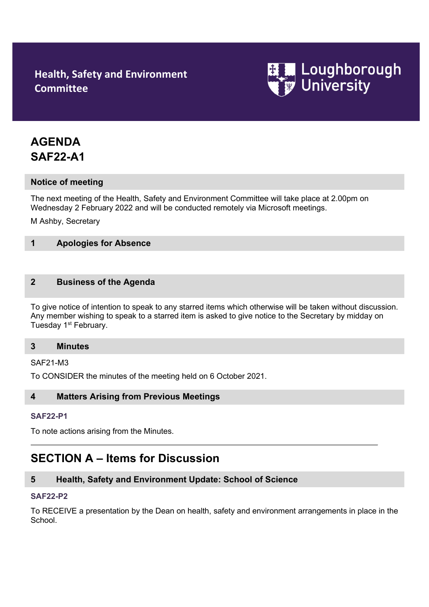# **Health, Safety and Environment Committee**



# **AGENDA SAF22-A1**

# **Notice of meeting**

The next meeting of the Health, Safety and Environment Committee will take place at 2.00pm on Wednesday 2 February 2022 and will be conducted remotely via Microsoft meetings.

M Ashby, Secretary

# **1 Apologies for Absence**

## **2 Business of the Agenda**

To give notice of intention to speak to any starred items which otherwise will be taken without discussion. Any member wishing to speak to a starred item is asked to give notice to the Secretary by midday on Tuesday 1<sup>st</sup> February.

## **3 Minutes**

SAF21-M3

To CONSIDER the minutes of the meeting held on 6 October 2021.

## **4 Matters Arising from Previous Meetings**

## **[SAF22-P1](http://www.lboro.ac.uk/admin/committees/hsec/papers/2012/saf12-p32.doc)**

To note actions arising from the Minutes.

# **SECTION A – Items for Discussion**

# **5 Health, Safety and Environment Update: School of Science**

#### **[SAF22-P2](http://www.lboro.ac.uk/admin/committees/hsec/papers/2012/saf12-p32.doc)**

To RECEIVE a presentation by the Dean on health, safety and environment arrangements in place in the School.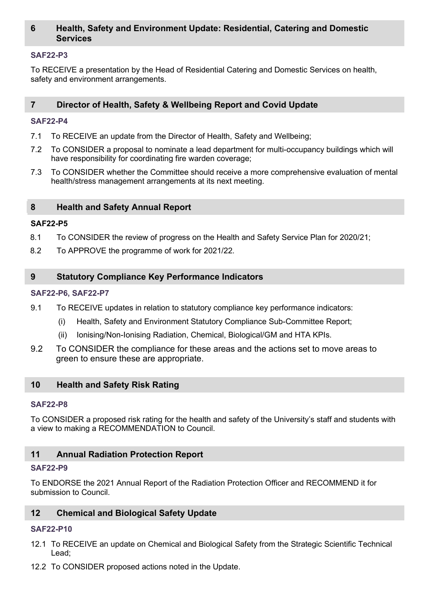# **6 Health, Safety and Environment Update: Residential, Catering and Domestic Services**

## **[SAF22-P3](http://www.lboro.ac.uk/admin/committees/hsec/papers/2012/saf12-p32.doc)**

To RECEIVE a presentation by the Head of Residential Catering and Domestic Services on health, safety and environment arrangements.

## **7 Director of Health, Safety & Wellbeing Report and Covid Update**

### **[SAF22-P4](http://www.lboro.ac.uk/admin/committees/hsec/papers/2012/saf12-p32.doc)**

- 7.1 To RECEIVE an update from the Director of Health, Safety and Wellbeing;
- 7.2 To CONSIDER a proposal to nominate a lead department for multi-occupancy buildings which will have responsibility for coordinating fire warden coverage;
- 7.3 To CONSIDER whether the Committee should receive a more comprehensive evaluation of mental health/stress management arrangements at its next meeting.

#### **8 Health and Safety Annual Report**

#### **SAF22-P5**

- 8.1 To CONSIDER the review of progress on the Health and Safety Service Plan for 2020/21;
- 8.2 To APPROVE the programme of work for 2021/22.

#### **9 Statutory Compliance Key Performance Indicators**

#### **[SAF22-P6](http://www.lboro.ac.uk/admin/committees/hsec/papers/2012/saf12-p32.doc), [SAF22-P7](http://www.lboro.ac.uk/admin/committees/hsec/papers/2012/saf12-p32.doc)**

- 9.1 To RECEIVE updates in relation to statutory compliance key performance indicators:
	- (i) Health, Safety and Environment Statutory Compliance Sub-Committee Report;
	- (ii) Ionising/Non-Ionising Radiation, Chemical, Biological/GM and HTA KPIs.
- 9.2 To CONSIDER the compliance for these areas and the actions set to move areas to green to ensure these are appropriate.

## **10 Health and Safety Risk Rating**

#### **[SAF22-P8](http://www.lboro.ac.uk/admin/committees/hsec/papers/2012/saf12-p32.doc)**

To CONSIDER a proposed risk rating for the health and safety of the University's staff and students with a view to making a RECOMMENDATION to Council.

#### **11 Annual Radiation Protection Report**

#### **[SAF22-P9](http://www.lboro.ac.uk/admin/committees/hsec/papers/2012/saf12-p32.doc)**

To ENDORSE the 2021 Annual Report of the Radiation Protection Officer and RECOMMEND it for submission to Council.

#### **12 Chemical and Biological Safety Update**

#### **[SAF22-P1](http://www.lboro.ac.uk/admin/committees/hsec/papers/2012/saf12-p32.doc)0**

- 12.1 To RECEIVE an update on Chemical and Biological Safety from the Strategic Scientific Technical Lead;
- 12.2 To CONSIDER proposed actions noted in the Update.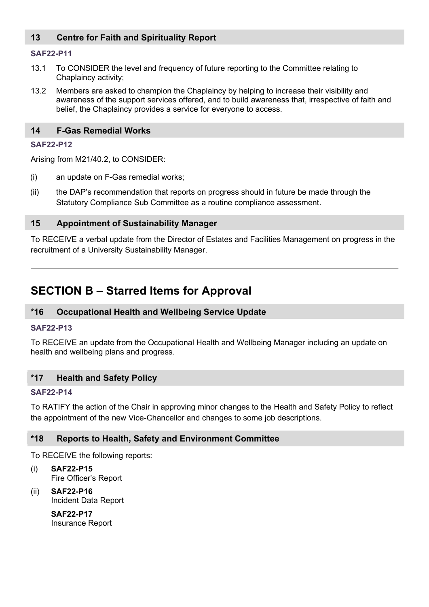# **13 Centre for Faith and Spirituality Report**

## **[SAF22-P1](http://www.lboro.ac.uk/admin/committees/hsec/papers/2012/saf12-p32.doc)1**

- 13.1 To CONSIDER the level and frequency of future reporting to the Committee relating to Chaplaincy activity;
- 13.2 Members are asked to champion the Chaplaincy by helping to increase their visibility and awareness of the support services offered, and to build awareness that, irrespective of faith and belief, the Chaplaincy provides a service for everyone to access.

## **14 F-Gas Remedial Works**

## **[SAF22-P1](http://www.lboro.ac.uk/admin/committees/hsec/papers/2012/saf12-p32.doc)2**

Arising from M21/40.2, to CONSIDER:

- (i) an update on F-Gas remedial works;
- (ii) the DAP's recommendation that reports on progress should in future be made through the Statutory Compliance Sub Committee as a routine compliance assessment.

# **15 Appointment of Sustainability Manager**

To RECEIVE a verbal update from the Director of Estates and Facilities Management on progress in the recruitment of a University Sustainability Manager.

# **SECTION B – Starred Items for Approval**

# **\*16 Occupational Health and Wellbeing Service Update**

## **[SAF22-P1](http://www.lboro.ac.uk/admin/committees/hsec/papers/2012/saf12-p32.doc)3**

To RECEIVE an update from the Occupational Health and Wellbeing Manager including an update on health and wellbeing plans and progress.

# **\*17 Health and Safety Policy**

## **[SAF22-P1](http://www.lboro.ac.uk/admin/committees/hsec/papers/2012/saf12-p32.doc)4**

To RATIFY the action of the Chair in approving minor changes to the Health and Safety Policy to reflect the appointment of the new Vice-Chancellor and changes to some job descriptions.

# **\*18 Reports to Health, Safety and Environment Committee**

To RECEIVE the following reports:

- (i) **SAF22-P15** Fire Officer's Report
- (ii) **SAF22-P16** Incident Data Report

**SAF22-P17** Insurance Report